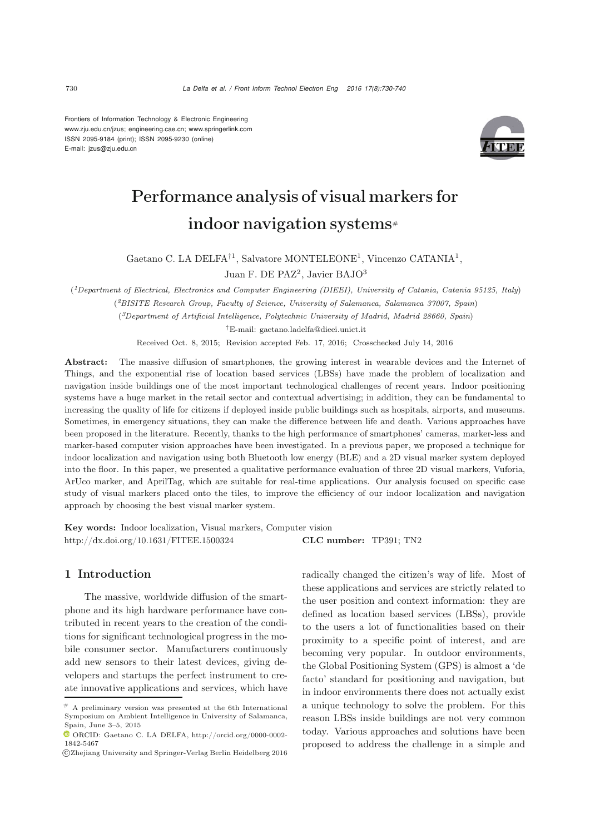Frontiers of Information Technology & Electronic Engineering www.zju.edu.cn/jzus; engineering.cae.cn; www.springerlink.com ISSN 2095-9184 (print); ISSN 2095-9230 (online) E-mail: jzus@zju.edu.cn



# Performance analysis of visual markers for indoor navigation systems#

Gaetano C. LA DELFA†<sup>1</sup>, Salvatore MONTELEONE<sup>1</sup>, Vincenzo CATANIA<sup>1</sup>, Juan F. DE PAZ<sup>2</sup>, Javier BAJO<sup>3</sup>

(*1Department of Electrical, Electronics and Computer Engineering (DIEEI), University of Catania, Catania 95125, Italy*)

(*2BISITE Research Group, Faculty of Science, University of Salamanca, Salamanca 37007, Spain*)

(*3Department of Artificial Intelligence, Polytechnic University of Madrid, Madrid 28660, Spain*)

†E-mail: gaetano.ladelfa@dieei.unict.it

Received Oct. 8, 2015; Revision accepted Feb. 17, 2016; Crosschecked July 14, 2016

Abstract: The massive diffusion of smartphones, the growing interest in wearable devices and the Internet of Things, and the exponential rise of location based services (LBSs) have made the problem of localization and navigation inside buildings one of the most important technological challenges of recent years. Indoor positioning systems have a huge market in the retail sector and contextual advertising; in addition, they can be fundamental to increasing the quality of life for citizens if deployed inside public buildings such as hospitals, airports, and museums. Sometimes, in emergency situations, they can make the difference between life and death. Various approaches have been proposed in the literature. Recently, thanks to the high performance of smartphones' cameras, marker-less and marker-based computer vision approaches have been investigated. In a previous paper, we proposed a technique for indoor localization and navigation using both Bluetooth low energy (BLE) and a 2D visual marker system deployed into the floor. In this paper, we presented a qualitative performance evaluation of three 2D visual markers, Vuforia, ArUco marker, and AprilTag, which are suitable for real-time applications. Our analysis focused on specific case study of visual markers placed onto the tiles, to improve the efficiency of our indoor localization and navigation approach by choosing the best visual marker system.

Key words: Indoor localization, Visual markers, Computer vision http://dx.doi.org/10.1631/FITEE.1500324 CLC number: TP391; TN2

# 1 Introduction

The massive, worldwide diffusion of the smartphone and its high hardware performance have contributed in recent years to the creation of the conditions for significant technological progress in the mobile consumer sector. Manufacturers continuously add new sensors to their latest devices, giving developers and startups the perfect instrument to create innovative applications and services, which have radically changed the citizen's way of life. Most of these applications and services are strictly related to the user position and context information: they are defined as location based services (LBSs), provide to the users a lot of functionalities based on their proximity to a specific point of interest, and are becoming very popular. In outdoor environments, the Global Positioning System (GPS) is almost a 'de facto' standard for positioning and navigation, but in indoor environments there does not actually exist a unique technology to solve the problem. For this reason LBSs inside buildings are not very common today. Various approaches and solutions have been proposed to address the challenge in a simple and

 $^\#$  A preliminary version was presented at the 6th International Symposium on Ambient Intelligence in University of Salamanca, Spain, June 3–5, 2015

ORCID: Gaetano C. LA DELFA, http://orcid.org/0000-0002- 1842-5467

<sup>-</sup>c Zhejiang University and Springer-Verlag Berlin Heidelberg 2016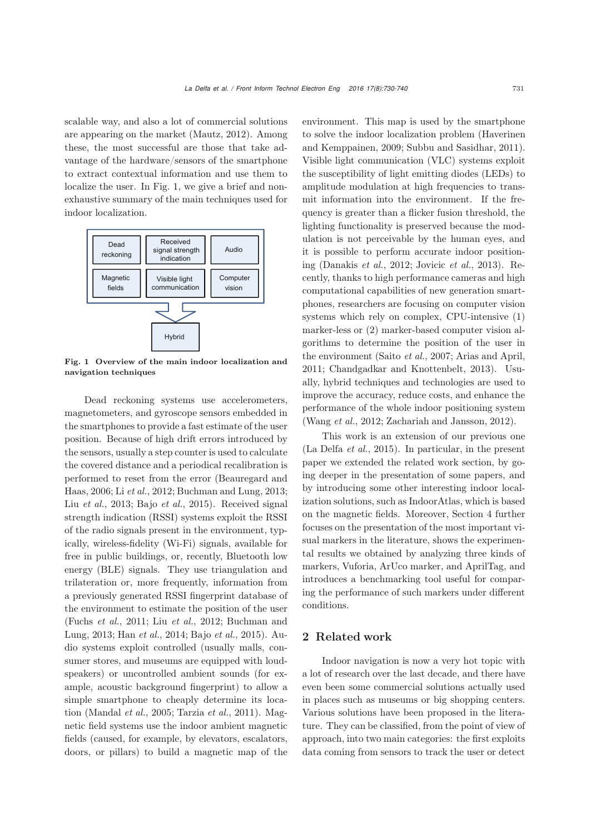scalable way, and also a lot of commercial solutions are appearing on the market (Mautz, 2012). Among these, the most successful are those that take advantage of the hardware/sensors of the smartphone to extract contextual information and use them to localize the user. In Fig. 1, we give a brief and nonexhaustive summary of the main techniques used for indoor localization.



Fig. 1 Overview of the main indoor localization and navigation techniques

Dead reckoning systems use accelerometers, magnetometers, and gyroscope sensors embedded in the smartphones to provide a fast estimate of the user position. Because of high drift errors introduced by the sensors, usually a step counter is used to calculate the covered distance and a periodical recalibration is performed to reset from the error (Beauregard and Haas, 2006; Li *et al.*, 2012; Buchman and Lung, 2013; Liu *et al.*, 2013; Bajo *et al.*, 2015). Received signal strength indication (RSSI) systems exploit the RSSI of the radio signals present in the environment, typically, wireless-fidelity (Wi-Fi) signals, available for free in public buildings, or, recently, Bluetooth low energy (BLE) signals. They use triangulation and trilateration or, more frequently, information from a previously generated RSSI fingerprint database of the environment to estimate the position of the user (Fuchs *et al.*, 2011; Liu *et al.*, 2012; Buchman and Lung, 2013; Han *et al.*, 2014; Bajo *et al.*, 2015). Audio systems exploit controlled (usually malls, consumer stores, and museums are equipped with loudspeakers) or uncontrolled ambient sounds (for example, acoustic background fingerprint) to allow a simple smartphone to cheaply determine its location (Mandal *et al.*, 2005; Tarzia *et al.*, 2011). Magnetic field systems use the indoor ambient magnetic fields (caused, for example, by elevators, escalators, doors, or pillars) to build a magnetic map of the

environment. This map is used by the smartphone to solve the indoor localization problem (Haverinen and Kemppainen, 2009; Subbu and Sasidhar, 2011). Visible light communication (VLC) systems exploit the susceptibility of light emitting diodes (LEDs) to amplitude modulation at high frequencies to transmit information into the environment. If the frequency is greater than a flicker fusion threshold, the lighting functionality is preserved because the modulation is not perceivable by the human eyes, and it is possible to perform accurate indoor positioning (Danakis *et al.*, 2012; Jovicic *et al.*, 2013). Recently, thanks to high performance cameras and high computational capabilities of new generation smartphones, researchers are focusing on computer vision systems which rely on complex, CPU-intensive (1) marker-less or (2) marker-based computer vision algorithms to determine the position of the user in the environment (Saito *et al.*, 2007; Arias and April, 2011; Chandgadkar and Knottenbelt, 2013). Usually, hybrid techniques and technologies are used to improve the accuracy, reduce costs, and enhance the performance of the whole indoor positioning system (Wang *et al.*, 2012; Zachariah and Jansson, 2012).

This work is an extension of our previous one (La Delfa *et al.*, 2015). In particular, in the present paper we extended the related work section, by going deeper in the presentation of some papers, and by introducing some other interesting indoor localization solutions, such as IndoorAtlas, which is based on the magnetic fields. Moreover, Section 4 further focuses on the presentation of the most important visual markers in the literature, shows the experimental results we obtained by analyzing three kinds of markers, Vuforia, ArUco marker, and AprilTag, and introduces a benchmarking tool useful for comparing the performance of such markers under different conditions.

# 2 Related work

Indoor navigation is now a very hot topic with a lot of research over the last decade, and there have even been some commercial solutions actually used in places such as museums or big shopping centers. Various solutions have been proposed in the literature. They can be classified, from the point of view of approach, into two main categories: the first exploits data coming from sensors to track the user or detect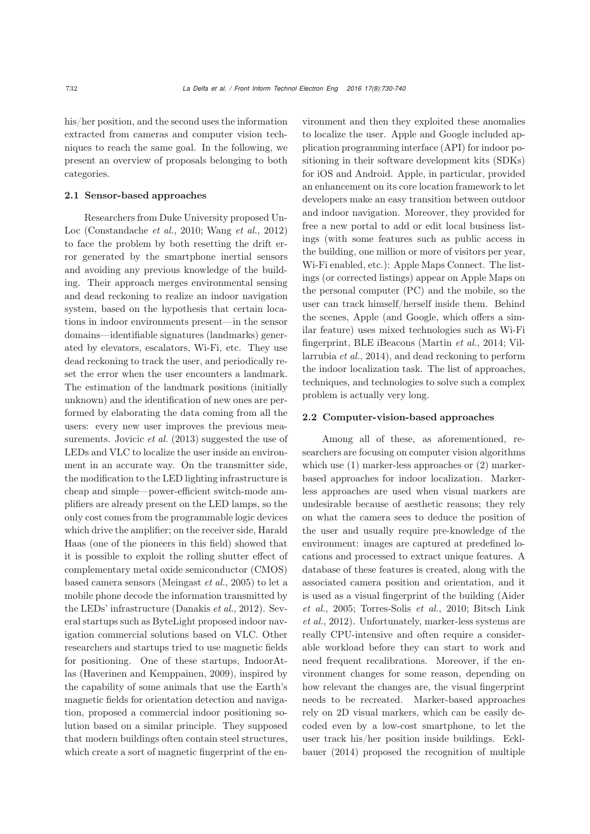his/her position, and the second uses the information extracted from cameras and computer vision techniques to reach the same goal. In the following, we present an overview of proposals belonging to both categories.

#### 2.1 Sensor-based approaches

Researchers from Duke University proposed Un-Loc (Constandache *et al.*, 2010; Wang *et al.*, 2012) to face the problem by both resetting the drift error generated by the smartphone inertial sensors and avoiding any previous knowledge of the building. Their approach merges environmental sensing and dead reckoning to realize an indoor navigation system, based on the hypothesis that certain locations in indoor environments present—in the sensor domains—identifiable signatures (landmarks) generated by elevators, escalators, Wi-Fi, etc. They use dead reckoning to track the user, and periodically reset the error when the user encounters a landmark. The estimation of the landmark positions (initially unknown) and the identification of new ones are performed by elaborating the data coming from all the users: every new user improves the previous measurements. Jovicic *et al.* (2013) suggested the use of LEDs and VLC to localize the user inside an environment in an accurate way. On the transmitter side, the modification to the LED lighting infrastructure is cheap and simple—power-efficient switch-mode amplifiers are already present on the LED lamps, so the only cost comes from the programmable logic devices which drive the amplifier; on the receiver side, Harald Haas (one of the pioneers in this field) showed that it is possible to exploit the rolling shutter effect of complementary metal oxide semiconductor (CMOS) based camera sensors (Meingast *et al.*, 2005) to let a mobile phone decode the information transmitted by the LEDs' infrastructure (Danakis *et al.*, 2012). Several startups such as ByteLight proposed indoor navigation commercial solutions based on VLC. Other researchers and startups tried to use magnetic fields for positioning. One of these startups, IndoorAtlas (Haverinen and Kemppainen, 2009), inspired by the capability of some animals that use the Earth's magnetic fields for orientation detection and navigation, proposed a commercial indoor positioning solution based on a similar principle. They supposed that modern buildings often contain steel structures, which create a sort of magnetic fingerprint of the environment and then they exploited these anomalies to localize the user. Apple and Google included application programming interface (API) for indoor positioning in their software development kits (SDKs) for iOS and Android. Apple, in particular, provided an enhancement on its core location framework to let developers make an easy transition between outdoor and indoor navigation. Moreover, they provided for free a new portal to add or edit local business listings (with some features such as public access in the building, one million or more of visitors per year, Wi-Fi enabled, etc.): Apple Maps Connect. The listings (or corrected listings) appear on Apple Maps on the personal computer (PC) and the mobile, so the user can track himself/herself inside them. Behind the scenes, Apple (and Google, which offers a similar feature) uses mixed technologies such as Wi-Fi fingerprint, BLE iBeacons (Martin *et al.*, 2014; Villarrubia *et al.*, 2014), and dead reckoning to perform the indoor localization task. The list of approaches, techniques, and technologies to solve such a complex problem is actually very long.

#### 2.2 Computer-vision-based approaches

Among all of these, as aforementioned, researchers are focusing on computer vision algorithms which use (1) marker-less approaches or (2) markerbased approaches for indoor localization. Markerless approaches are used when visual markers are undesirable because of aesthetic reasons; they rely on what the camera sees to deduce the position of the user and usually require pre-knowledge of the environment: images are captured at predefined locations and processed to extract unique features. A database of these features is created, along with the associated camera position and orientation, and it is used as a visual fingerprint of the building (Aider *et al.*, 2005; Torres-Solis *et al.*, 2010; Bitsch Link *et al.*, 2012). Unfortunately, marker-less systems are really CPU-intensive and often require a considerable workload before they can start to work and need frequent recalibrations. Moreover, if the environment changes for some reason, depending on how relevant the changes are, the visual fingerprint needs to be recreated. Marker-based approaches rely on 2D visual markers, which can be easily decoded even by a low-cost smartphone, to let the user track his/her position inside buildings. Ecklbauer (2014) proposed the recognition of multiple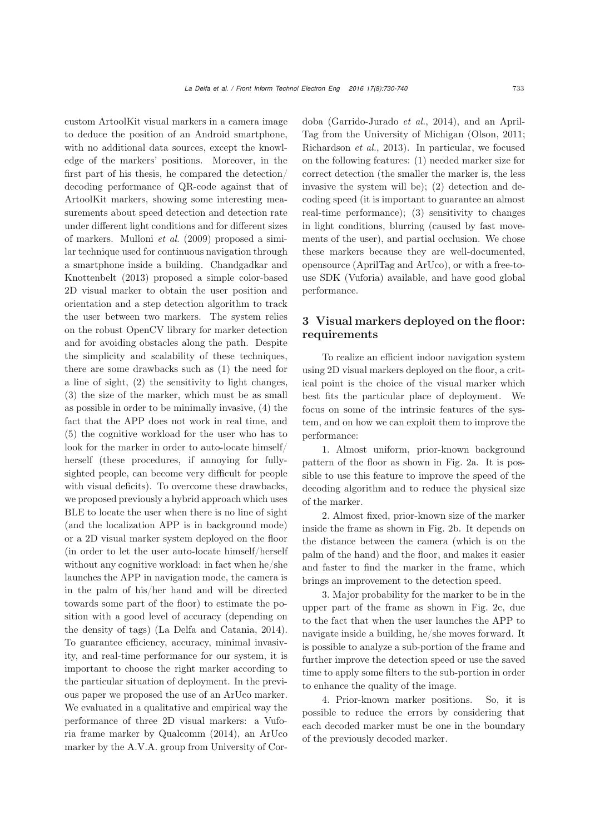custom ArtoolKit visual markers in a camera image to deduce the position of an Android smartphone, with no additional data sources, except the knowledge of the markers' positions. Moreover, in the first part of his thesis, he compared the detection/ decoding performance of QR-code against that of ArtoolKit markers, showing some interesting measurements about speed detection and detection rate under different light conditions and for different sizes of markers. Mulloni *et al.* (2009) proposed a similar technique used for continuous navigation through a smartphone inside a building. Chandgadkar and Knottenbelt (2013) proposed a simple color-based 2D visual marker to obtain the user position and orientation and a step detection algorithm to track the user between two markers. The system relies on the robust OpenCV library for marker detection and for avoiding obstacles along the path. Despite the simplicity and scalability of these techniques, there are some drawbacks such as (1) the need for a line of sight, (2) the sensitivity to light changes, (3) the size of the marker, which must be as small as possible in order to be minimally invasive, (4) the fact that the APP does not work in real time, and (5) the cognitive workload for the user who has to look for the marker in order to auto-locate himself/ herself (these procedures, if annoying for fullysighted people, can become very difficult for people with visual deficits). To overcome these drawbacks, we proposed previously a hybrid approach which uses BLE to locate the user when there is no line of sight (and the localization APP is in background mode) or a 2D visual marker system deployed on the floor (in order to let the user auto-locate himself/herself without any cognitive workload: in fact when he/she launches the APP in navigation mode, the camera is in the palm of his/her hand and will be directed towards some part of the floor) to estimate the position with a good level of accuracy (depending on the density of tags) (La Delfa and Catania, 2014). To guarantee efficiency, accuracy, minimal invasivity, and real-time performance for our system, it is important to choose the right marker according to the particular situation of deployment. In the previous paper we proposed the use of an ArUco marker. We evaluated in a qualitative and empirical way the performance of three 2D visual markers: a Vuforia frame marker by Qualcomm (2014), an ArUco marker by the A.V.A. group from University of Cordoba (Garrido-Jurado *et al.*, 2014), and an April-Tag from the University of Michigan (Olson, 2011; Richardson *et al.*, 2013). In particular, we focused on the following features: (1) needed marker size for correct detection (the smaller the marker is, the less invasive the system will be); (2) detection and decoding speed (it is important to guarantee an almost real-time performance); (3) sensitivity to changes in light conditions, blurring (caused by fast movements of the user), and partial occlusion. We chose these markers because they are well-documented, opensource (AprilTag and ArUco), or with a free-touse SDK (Vuforia) available, and have good global performance.

# 3 Visual markers deployed on the floor: requirements

To realize an efficient indoor navigation system using 2D visual markers deployed on the floor, a critical point is the choice of the visual marker which best fits the particular place of deployment. We focus on some of the intrinsic features of the system, and on how we can exploit them to improve the performance:

1. Almost uniform, prior-known background pattern of the floor as shown in Fig. 2a. It is possible to use this feature to improve the speed of the decoding algorithm and to reduce the physical size of the marker.

2. Almost fixed, prior-known size of the marker inside the frame as shown in Fig. 2b. It depends on the distance between the camera (which is on the palm of the hand) and the floor, and makes it easier and faster to find the marker in the frame, which brings an improvement to the detection speed.

3. Major probability for the marker to be in the upper part of the frame as shown in Fig. 2c, due to the fact that when the user launches the APP to navigate inside a building, he/she moves forward. It is possible to analyze a sub-portion of the frame and further improve the detection speed or use the saved time to apply some filters to the sub-portion in order to enhance the quality of the image.

4. Prior-known marker positions. So, it is possible to reduce the errors by considering that each decoded marker must be one in the boundary of the previously decoded marker.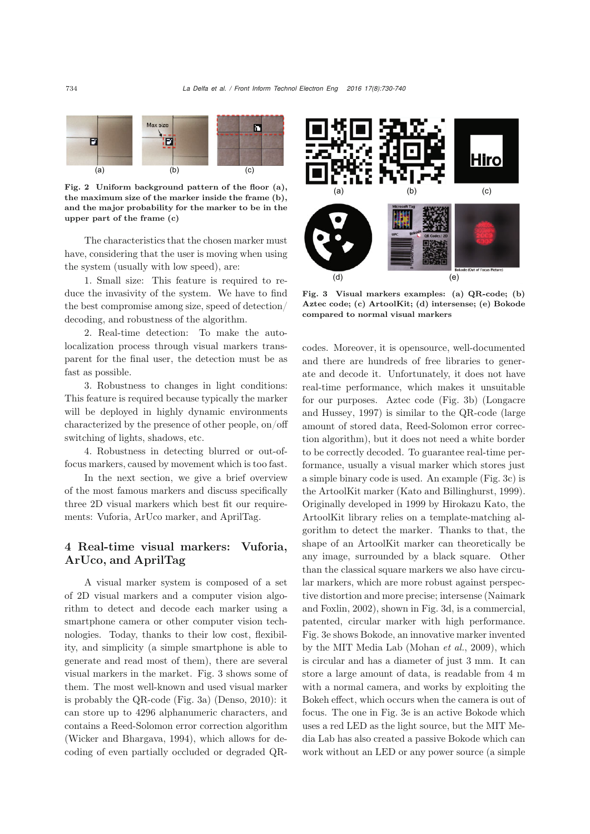

Fig. 2 Uniform background pattern of the floor (a), the maximum size of the marker inside the frame (b), and the major probability for the marker to be in the upper part of the frame (c)

The characteristics that the chosen marker must have, considering that the user is moving when using the system (usually with low speed), are:

1. Small size: This feature is required to reduce the invasivity of the system. We have to find the best compromise among size, speed of detection/ decoding, and robustness of the algorithm.

2. Real-time detection: To make the autolocalization process through visual markers transparent for the final user, the detection must be as fast as possible.

3. Robustness to changes in light conditions: This feature is required because typically the marker will be deployed in highly dynamic environments characterized by the presence of other people, on/off switching of lights, shadows, etc.

4. Robustness in detecting blurred or out-offocus markers, caused by movement which is too fast.

In the next section, we give a brief overview of the most famous markers and discuss specifically three 2D visual markers which best fit our requirements: Vuforia, ArUco marker, and AprilTag.

# 4 Real-time visual markers: Vuforia, ArUco, and AprilTag

A visual marker system is composed of a set of 2D visual markers and a computer vision algorithm to detect and decode each marker using a smartphone camera or other computer vision technologies. Today, thanks to their low cost, flexibility, and simplicity (a simple smartphone is able to generate and read most of them), there are several visual markers in the market. Fig. 3 shows some of them. The most well-known and used visual marker is probably the QR-code (Fig. 3a) (Denso, 2010): it can store up to 4296 alphanumeric characters, and contains a Reed-Solomon error correction algorithm (Wicker and Bhargava, 1994), which allows for decoding of even partially occluded or degraded QR-



Fig. 3 Visual markers examples: (a) QR-code; (b) Aztec code; (c) ArtoolKit; (d) intersense; (e) Bokode compared to normal visual markers

codes. Moreover, it is opensource, well-documented and there are hundreds of free libraries to generate and decode it. Unfortunately, it does not have real-time performance, which makes it unsuitable for our purposes. Aztec code (Fig. 3b) (Longacre and Hussey, 1997) is similar to the QR-code (large amount of stored data, Reed-Solomon error correction algorithm), but it does not need a white border to be correctly decoded. To guarantee real-time performance, usually a visual marker which stores just a simple binary code is used. An example (Fig. 3c) is the ArtoolKit marker (Kato and Billinghurst, 1999). Originally developed in 1999 by Hirokazu Kato, the ArtoolKit library relies on a template-matching algorithm to detect the marker. Thanks to that, the shape of an ArtoolKit marker can theoretically be any image, surrounded by a black square. Other than the classical square markers we also have circular markers, which are more robust against perspective distortion and more precise; intersense (Naimark and Foxlin, 2002), shown in Fig. 3d, is a commercial, patented, circular marker with high performance. Fig. 3e shows Bokode, an innovative marker invented by the MIT Media Lab (Mohan *et al.*, 2009), which is circular and has a diameter of just 3 mm. It can store a large amount of data, is readable from 4 m with a normal camera, and works by exploiting the Bokeh effect, which occurs when the camera is out of focus. The one in Fig. 3e is an active Bokode which uses a red LED as the light source, but the MIT Media Lab has also created a passive Bokode which can work without an LED or any power source (a simple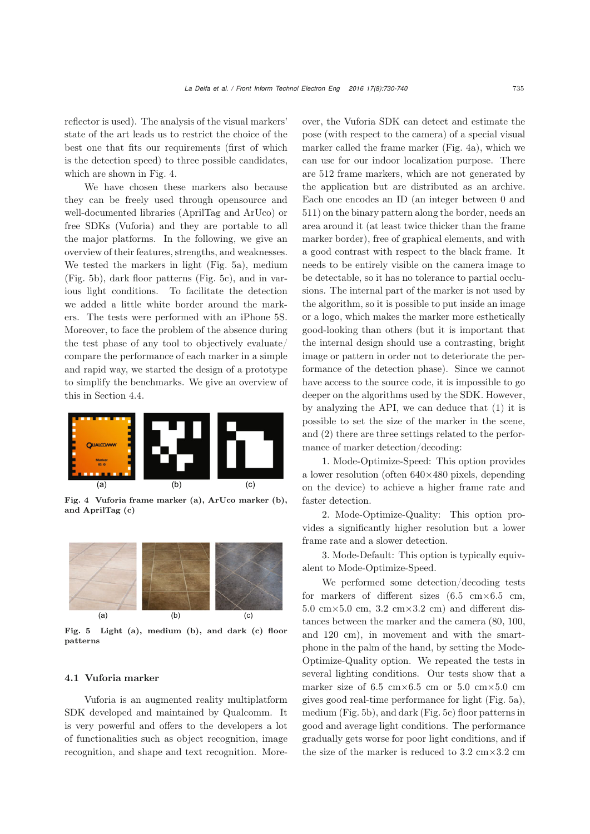reflector is used). The analysis of the visual markers' state of the art leads us to restrict the choice of the best one that fits our requirements (first of which is the detection speed) to three possible candidates, which are shown in Fig. 4.

We have chosen these markers also because they can be freely used through opensource and well-documented libraries (AprilTag and ArUco) or free SDKs (Vuforia) and they are portable to all the major platforms. In the following, we give an overview of their features, strengths, and weaknesses. We tested the markers in light (Fig. 5a), medium (Fig. 5b), dark floor patterns (Fig. 5c), and in various light conditions. To facilitate the detection we added a little white border around the markers. The tests were performed with an iPhone 5S. Moreover, to face the problem of the absence during the test phase of any tool to objectively evaluate/ compare the performance of each marker in a simple and rapid way, we started the design of a prototype to simplify the benchmarks. We give an overview of this in Section 4.4.



Fig. 4 Vuforia frame marker (a), ArUco marker (b), and AprilTag (c)



Fig. 5 Light (a), medium (b), and dark (c) floor patterns

#### 4.1 Vuforia marker

Vuforia is an augmented reality multiplatform SDK developed and maintained by Qualcomm. It is very powerful and offers to the developers a lot of functionalities such as object recognition, image recognition, and shape and text recognition. Moreover, the Vuforia SDK can detect and estimate the pose (with respect to the camera) of a special visual marker called the frame marker (Fig. 4a), which we can use for our indoor localization purpose. There are 512 frame markers, which are not generated by the application but are distributed as an archive. Each one encodes an ID (an integer between 0 and 511) on the binary pattern along the border, needs an area around it (at least twice thicker than the frame marker border), free of graphical elements, and with a good contrast with respect to the black frame. It needs to be entirely visible on the camera image to be detectable, so it has no tolerance to partial occlusions. The internal part of the marker is not used by the algorithm, so it is possible to put inside an image or a logo, which makes the marker more esthetically good-looking than others (but it is important that the internal design should use a contrasting, bright image or pattern in order not to deteriorate the performance of the detection phase). Since we cannot have access to the source code, it is impossible to go deeper on the algorithms used by the SDK. However, by analyzing the API, we can deduce that (1) it is possible to set the size of the marker in the scene, and (2) there are three settings related to the performance of marker detection/decoding:

1. Mode-Optimize-Speed: This option provides a lower resolution (often 640*×*480 pixels, depending on the device) to achieve a higher frame rate and faster detection.

2. Mode-Optimize-Quality: This option provides a significantly higher resolution but a lower frame rate and a slower detection.

3. Mode-Default: This option is typically equivalent to Mode-Optimize-Speed.

We performed some detection/decoding tests for markers of different sizes (6.5 cm*×*6.5 cm, 5.0 cm*×*5.0 cm, 3.2 cm*×*3.2 cm) and different distances between the marker and the camera (80, 100, and 120 cm), in movement and with the smartphone in the palm of the hand, by setting the Mode-Optimize-Quality option. We repeated the tests in several lighting conditions. Our tests show that a marker size of 6.5 cm*×*6.5 cm or 5.0 cm*×*5.0 cm gives good real-time performance for light (Fig. 5a), medium (Fig. 5b), and dark (Fig. 5c) floor patterns in good and average light conditions. The performance gradually gets worse for poor light conditions, and if the size of the marker is reduced to 3.2 cm*×*3.2 cm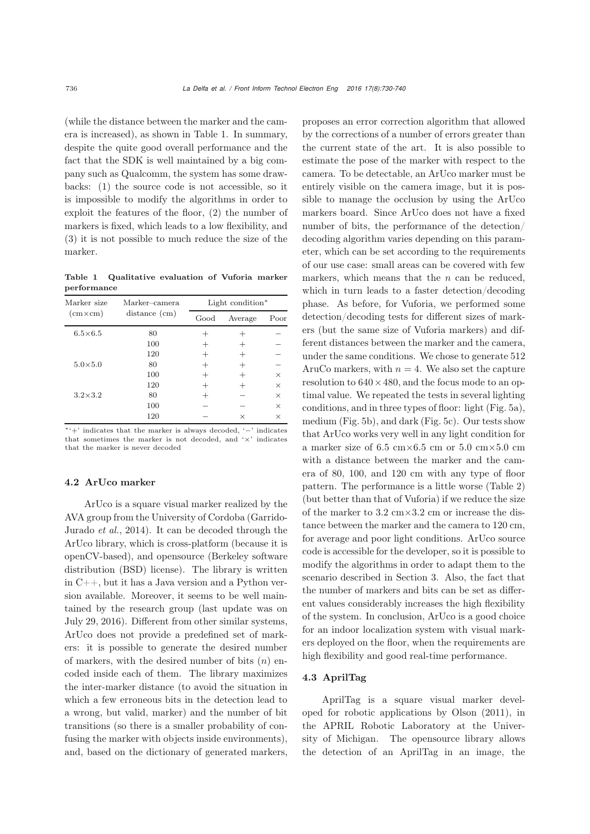(while the distance between the marker and the camera is increased), as shown in Table 1. In summary, despite the quite good overall performance and the fact that the SDK is well maintained by a big company such as Qualcomm, the system has some drawbacks: (1) the source code is not accessible, so it is impossible to modify the algorithms in order to exploit the features of the floor, (2) the number of markers is fixed, which leads to a low flexibility, and (3) it is not possible to much reduce the size of the marker.

Table 1 Qualitative evaluation of Vuforia marker performance

| Marker size<br>$(cm \times cm)$ | Marker-camera<br>distance (cm) | Light condition $*$ |          |          |
|---------------------------------|--------------------------------|---------------------|----------|----------|
|                                 |                                | Good                | Average  | Poor     |
| $6.5\times 6.5$                 | 80                             |                     |          |          |
|                                 | 100                            |                     |          |          |
|                                 | 120                            |                     |          |          |
| $5.0\times5.0$                  | 80                             |                     |          |          |
|                                 | 100                            |                     |          | $\times$ |
|                                 | 120                            |                     |          | $\times$ |
| $3.2\times3.2$                  | 80                             |                     |          | $\times$ |
|                                 | 100                            |                     |          | $\times$ |
|                                 | 120                            |                     | $\times$ | $\times$ |

<sup>∗</sup>'+' indicates that the marker is always decoded, '−' indicates that sometimes the marker is not decoded, and '×' indicates that the marker is never decoded

#### 4.2 ArUco marker

ArUco is a square visual marker realized by the AVA group from the University of Cordoba (Garrido-Jurado *et al.*, 2014). It can be decoded through the ArUco library, which is cross-platform (because it is openCV-based), and opensource (Berkeley software distribution (BSD) license). The library is written in  $C_{++}$ , but it has a Java version and a Python version available. Moreover, it seems to be well maintained by the research group (last update was on July 29, 2016). Different from other similar systems, ArUco does not provide a predefined set of markers: it is possible to generate the desired number of markers, with the desired number of bits  $(n)$  encoded inside each of them. The library maximizes the inter-marker distance (to avoid the situation in which a few erroneous bits in the detection lead to a wrong, but valid, marker) and the number of bit transitions (so there is a smaller probability of confusing the marker with objects inside environments), and, based on the dictionary of generated markers,

proposes an error correction algorithm that allowed by the corrections of a number of errors greater than the current state of the art. It is also possible to estimate the pose of the marker with respect to the camera. To be detectable, an ArUco marker must be entirely visible on the camera image, but it is possible to manage the occlusion by using the ArUco markers board. Since ArUco does not have a fixed number of bits, the performance of the detection/ decoding algorithm varies depending on this parameter, which can be set according to the requirements of our use case: small areas can be covered with few markers, which means that the  $n$  can be reduced. which in turn leads to a faster detection/decoding phase. As before, for Vuforia, we performed some detection/decoding tests for different sizes of markers (but the same size of Vuforia markers) and different distances between the marker and the camera, under the same conditions. We chose to generate 512 AruCo markers, with  $n = 4$ . We also set the capture resolution to 640*×*480, and the focus mode to an optimal value. We repeated the tests in several lighting conditions, and in three types of floor: light (Fig. 5a), medium (Fig. 5b), and dark (Fig. 5c). Our tests show that ArUco works very well in any light condition for a marker size of 6.5 cm*×*6.5 cm or 5.0 cm*×*5.0 cm with a distance between the marker and the camera of 80, 100, and 120 cm with any type of floor pattern. The performance is a little worse (Table 2) (but better than that of Vuforia) if we reduce the size of the marker to 3.2 cm*×*3.2 cm or increase the distance between the marker and the camera to 120 cm, for average and poor light conditions. ArUco source code is accessible for the developer, so it is possible to modify the algorithms in order to adapt them to the scenario described in Section 3. Also, the fact that the number of markers and bits can be set as different values considerably increases the high flexibility of the system. In conclusion, ArUco is a good choice for an indoor localization system with visual markers deployed on the floor, when the requirements are high flexibility and good real-time performance.

### 4.3 AprilTag

AprilTag is a square visual marker developed for robotic applications by Olson (2011), in the APRIL Robotic Laboratory at the University of Michigan. The opensource library allows the detection of an AprilTag in an image, the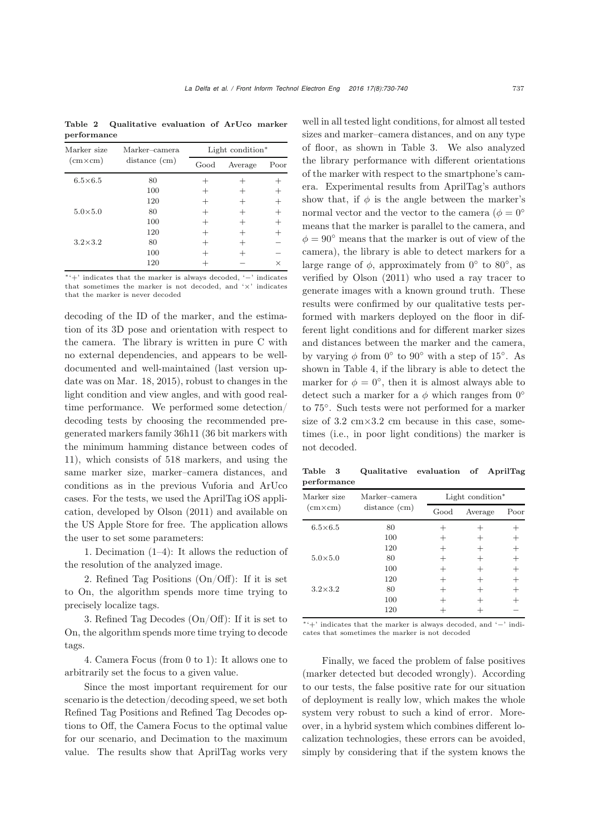Table 2 Qualitative evaluation of ArUco marker performance

| Marker size<br>$(cm \times cm)$ | Marker-camera<br>distance (cm) | Light condition $*$ |         |      |
|---------------------------------|--------------------------------|---------------------|---------|------|
|                                 |                                | Good                | Average | Poor |
| $6.5\times 6.5$                 | 80                             |                     |         |      |
|                                 | 100                            |                     |         |      |
|                                 | 120                            |                     |         |      |
| $5.0 \times 5.0$                | 80                             |                     |         |      |
|                                 | 100                            |                     |         |      |
|                                 | 120                            |                     |         |      |
| $3.2\times3.2$                  | 80                             |                     |         |      |
|                                 | 100                            |                     |         |      |
|                                 | 120                            |                     |         | ×    |

<sup>∗</sup>'+' indicates that the marker is always decoded, '−' indicates that sometimes the marker is not decoded, and '×' indicates that the marker is never decoded

decoding of the ID of the marker, and the estimation of its 3D pose and orientation with respect to the camera. The library is written in pure C with no external dependencies, and appears to be welldocumented and well-maintained (last version update was on Mar. 18, 2015), robust to changes in the light condition and view angles, and with good realtime performance. We performed some detection/ decoding tests by choosing the recommended pregenerated markers family 36h11 (36 bit markers with the minimum hamming distance between codes of 11), which consists of 518 markers, and using the same marker size, marker–camera distances, and conditions as in the previous Vuforia and ArUco cases. For the tests, we used the AprilTag iOS application, developed by Olson (2011) and available on the US Apple Store for free. The application allows the user to set some parameters:

1. Decimation (1–4): It allows the reduction of the resolution of the analyzed image.

2. Refined Tag Positions  $(On/Off)$ : If it is set to On, the algorithm spends more time trying to precisely localize tags.

3. Refined Tag Decodes (On/Off): If it is set to On, the algorithm spends more time trying to decode tags.

4. Camera Focus (from 0 to 1): It allows one to arbitrarily set the focus to a given value.

Since the most important requirement for our scenario is the detection/decoding speed, we set both Refined Tag Positions and Refined Tag Decodes options to Off, the Camera Focus to the optimal value for our scenario, and Decimation to the maximum value. The results show that AprilTag works very

well in all tested light conditions, for almost all tested sizes and marker–camera distances, and on any type of floor, as shown in Table 3. We also analyzed the library performance with different orientations of the marker with respect to the smartphone's camera. Experimental results from AprilTag's authors show that, if  $\phi$  is the angle between the marker's normal vector and the vector to the camera ( $\phi = 0^{\circ}$ means that the marker is parallel to the camera, and  $\phi = 90^{\circ}$  means that the marker is out of view of the camera), the library is able to detect markers for a large range of  $\phi$ , approximately from  $0°$  to  $80°$ , as verified by Olson (2011) who used a ray tracer to generate images with a known ground truth. These results were confirmed by our qualitative tests performed with markers deployed on the floor in different light conditions and for different marker sizes and distances between the marker and the camera, by varying  $\phi$  from 0° to 90° with a step of 15°. As shown in Table 4, if the library is able to detect the marker for  $\phi = 0^{\circ}$ , then it is almost always able to detect such a marker for a  $\phi$  which ranges from 0° to 75◦. Such tests were not performed for a marker size of 3.2 cm*×*3.2 cm because in this case, sometimes (i.e., in poor light conditions) the marker is not decoded.

Table 3 Qualitative evaluation of AprilTag performance

| Marker size<br>$(cm \times cm)$ | Marker-camera<br>distance (cm) | Light condition* |         |      |
|---------------------------------|--------------------------------|------------------|---------|------|
|                                 |                                | Good             | Average | Poor |
| $6.5 \times 6.5$                | 80                             |                  |         |      |
|                                 | 100                            |                  |         |      |
|                                 | 120                            |                  |         |      |
| $5.0 \times 5.0$                | 80                             |                  |         |      |
|                                 | 100                            |                  |         |      |
|                                 | 120                            |                  |         |      |
| $3.2\times3.2$                  | 80                             |                  |         |      |
|                                 | 100                            |                  |         |      |
|                                 | 120                            |                  |         |      |

<sup>∗</sup>'+' indicates that the marker is always decoded, and '−' indicates that sometimes the marker is not decoded

Finally, we faced the problem of false positives (marker detected but decoded wrongly). According to our tests, the false positive rate for our situation of deployment is really low, which makes the whole system very robust to such a kind of error. Moreover, in a hybrid system which combines different localization technologies, these errors can be avoided, simply by considering that if the system knows the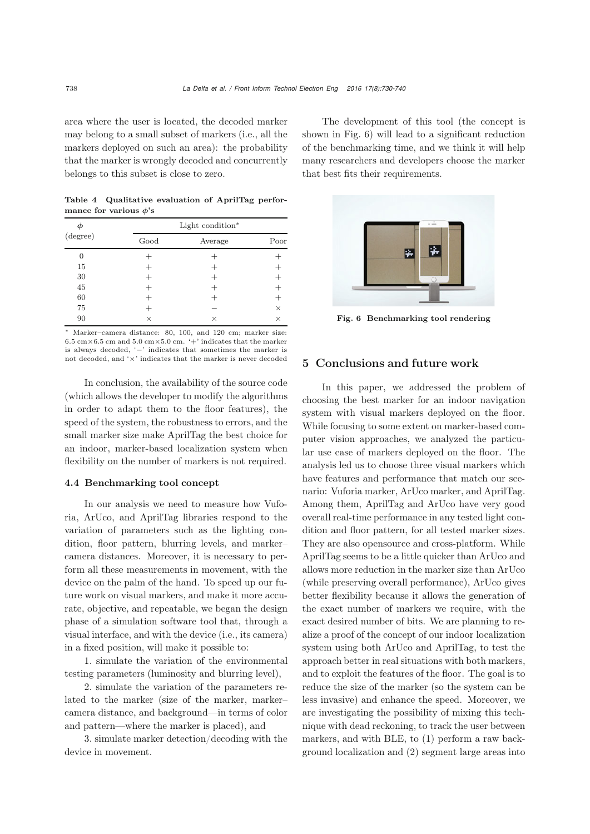area where the user is located, the decoded marker may belong to a small subset of markers (i.e., all the markers deployed on such an area): the probability that the marker is wrongly decoded and concurrently belongs to this subset is close to zero.

Table 4 Qualitative evaluation of AprilTag performance for various *φ*'s

| Light condition* |          |          |
|------------------|----------|----------|
| Good             | Average  | Poor     |
|                  |          |          |
|                  |          |          |
|                  |          |          |
|                  |          |          |
|                  |          |          |
|                  |          | $\times$ |
| $\times$         | $\times$ | $\times$ |
|                  |          |          |

∗ Marker–camera distance: 80, 100, and 120 cm; marker size:  $6.5 \text{ cm} \times 6.5 \text{ cm}$  and  $5.0 \text{ cm} \times 5.0 \text{ cm}$ . '+' indicates that the marker is always decoded, '−' indicates that sometimes the marker is not decoded, and ' $\times$ ' indicates that the marker is never decoded

In conclusion, the availability of the source code (which allows the developer to modify the algorithms in order to adapt them to the floor features), the speed of the system, the robustness to errors, and the small marker size make AprilTag the best choice for an indoor, marker-based localization system when flexibility on the number of markers is not required.

#### 4.4 Benchmarking tool concept

In our analysis we need to measure how Vuforia, ArUco, and AprilTag libraries respond to the variation of parameters such as the lighting condition, floor pattern, blurring levels, and marker– camera distances. Moreover, it is necessary to perform all these measurements in movement, with the device on the palm of the hand. To speed up our future work on visual markers, and make it more accurate, objective, and repeatable, we began the design phase of a simulation software tool that, through a visual interface, and with the device (i.e., its camera) in a fixed position, will make it possible to:

1. simulate the variation of the environmental testing parameters (luminosity and blurring level),

2. simulate the variation of the parameters related to the marker (size of the marker, marker– camera distance, and background—in terms of color and pattern—where the marker is placed), and

3. simulate marker detection/decoding with the device in movement.

The development of this tool (the concept is shown in Fig. 6) will lead to a significant reduction of the benchmarking time, and we think it will help many researchers and developers choose the marker that best fits their requirements.



Fig. 6 Benchmarking tool rendering

# 5 Conclusions and future work

In this paper, we addressed the problem of choosing the best marker for an indoor navigation system with visual markers deployed on the floor. While focusing to some extent on marker-based computer vision approaches, we analyzed the particular use case of markers deployed on the floor. The analysis led us to choose three visual markers which have features and performance that match our scenario: Vuforia marker, ArUco marker, and AprilTag. Among them, AprilTag and ArUco have very good overall real-time performance in any tested light condition and floor pattern, for all tested marker sizes. They are also opensource and cross-platform. While AprilTag seems to be a little quicker than ArUco and allows more reduction in the marker size than ArUco (while preserving overall performance), ArUco gives better flexibility because it allows the generation of the exact number of markers we require, with the exact desired number of bits. We are planning to realize a proof of the concept of our indoor localization system using both ArUco and AprilTag, to test the approach better in real situations with both markers, and to exploit the features of the floor. The goal is to reduce the size of the marker (so the system can be less invasive) and enhance the speed. Moreover, we are investigating the possibility of mixing this technique with dead reckoning, to track the user between markers, and with BLE, to (1) perform a raw background localization and (2) segment large areas into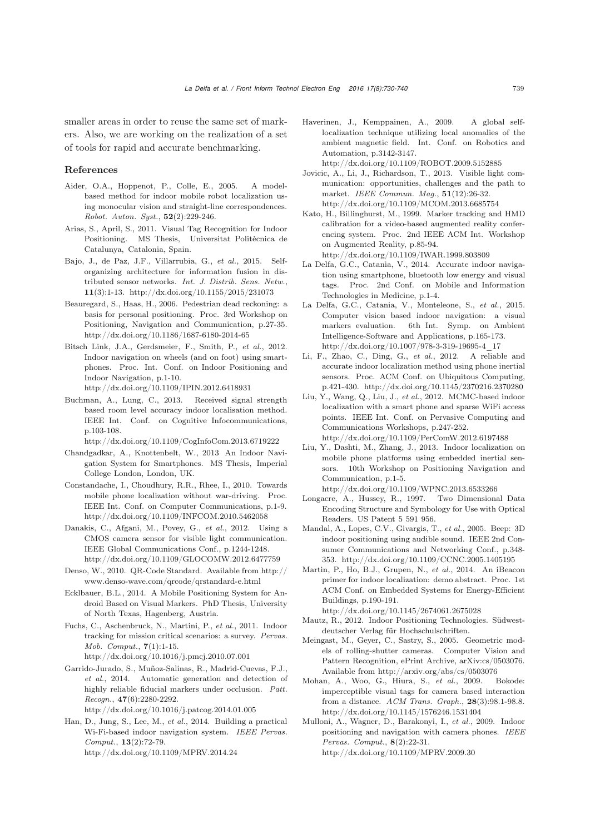smaller areas in order to reuse the same set of markers. Also, we are working on the realization of a set of tools for rapid and accurate benchmarking.

#### References

- Aider, O.A., Hoppenot, P., Colle, E., 2005. A modelbased method for indoor mobile robot localization using monocular vision and straight-line correspondences. *Robot. Auton. Syst.*, 52(2):229-246.
- Arias, S., April, S., 2011. Visual Tag Recognition for Indoor Positioning. MS Thesis, Universitat Politècnica de Catalunya, Catalonia, Spain.
- Bajo, J., de Paz, J.F., Villarrubia, G., *et al.*, 2015. Selforganizing architecture for information fusion in distributed sensor networks. *Int. J. Distrib. Sens. Netw.*, 11(3):1-13. http://dx.doi.org/10.1155/2015/231073
- Beauregard, S., Haas, H., 2006. Pedestrian dead reckoning: a basis for personal positioning. Proc. 3rd Workshop on Positioning, Navigation and Communication, p.27-35. http://dx.doi.org/10.1186/1687-6180-2014-65
- Bitsch Link, J.A., Gerdsmeier, F., Smith, P., *et al.*, 2012. Indoor navigation on wheels (and on foot) using smartphones. Proc. Int. Conf. on Indoor Positioning and Indoor Navigation, p.1-10. http://dx.doi.org/10.1109/IPIN.2012.6418931
- Buchman, A., Lung, C., 2013. Received signal strength based room level accuracy indoor localisation method. IEEE Int. Conf. on Cognitive Infocommunications, p.103-108.

http://dx.doi.org/10.1109/CogInfoCom.2013.6719222

- Chandgadkar, A., Knottenbelt, W., 2013 An Indoor Navigation System for Smartphones. MS Thesis, Imperial College London, London, UK.
- Constandache, I., Choudhury, R.R., Rhee, I., 2010. Towards mobile phone localization without war-driving. Proc. IEEE Int. Conf. on Computer Communications, p.1-9. http://dx.doi.org/10.1109/INFCOM.2010.5462058
- Danakis, C., Afgani, M., Povey, G., *et al.*, 2012. Using a CMOS camera sensor for visible light communication. IEEE Global Communications Conf., p.1244-1248. http://dx.doi.org/10.1109/GLOCOMW.2012.6477759
- Denso, W., 2010. QR-Code Standard. Available from http:// www.denso-wave.com/qrcode/qrstandard-e.html
- Ecklbauer, B.L., 2014. A Mobile Positioning System for Android Based on Visual Markers. PhD Thesis, University of North Texas, Hagenberg, Austria.
- Fuchs, C., Aschenbruck, N., Martini, P., *et al.*, 2011. Indoor tracking for mission critical scenarios: a survey. *Pervas. Mob. Comput.*, 7(1):1-15.
	- http://dx.doi.org/10.1016/j.pmcj.2010.07.001
- Garrido-Jurado, S., Muñoz-Salinas, R., Madrid-Cuevas, F.J., *et al.*, 2014. Automatic generation and detection of highly reliable fiducial markers under occlusion. *Patt. Recogn.*, 47(6):2280-2292. http://dx.doi.org/10.1016/j.patcog.2014.01.005
- Han, D., Jung, S., Lee, M., *et al.*, 2014. Building a practical Wi-Fi-based indoor navigation system. *IEEE Pervas. Comput.*, 13(2):72-79. http://dx.doi.org/10.1109/MPRV.2014.24
- Haverinen, J., Kemppainen, A., 2009. A global selflocalization technique utilizing local anomalies of the ambient magnetic field. Int. Conf. on Robotics and Automation, p.3142-3147. http://dx.doi.org/10.1109/ROBOT.2009.5152885
- Jovicic, A., Li, J., Richardson, T., 2013. Visible light communication: opportunities, challenges and the path to market. *IEEE Commun. Mag.*, 51(12):26-32. http://dx.doi.org/10.1109/MCOM.2013.6685754
- Kato, H., Billinghurst, M., 1999. Marker tracking and HMD calibration for a video-based augmented reality conferencing system. Proc. 2nd IEEE ACM Int. Workshop on Augmented Reality, p.85-94.

http://dx.doi.org/10.1109/IWAR.1999.803809

- La Delfa, G.C., Catania, V., 2014. Accurate indoor navigation using smartphone, bluetooth low energy and visual tags. Proc. 2nd Conf. on Mobile and Information Technologies in Medicine, p.1-4.
- La Delfa, G.C., Catania, V., Monteleone, S., *et al.*, 2015. Computer vision based indoor navigation: a visual markers evaluation. 6th Int. Symp. on Ambient Intelligence-Software and Applications, p.165-173. http://dx.doi.org/10.1007/978-3-319-19695-4\_17
- Li, F., Zhao, C., Ding, G., *et al.*, 2012. A reliable and accurate indoor localization method using phone inertial sensors. Proc. ACM Conf. on Ubiquitous Computing, p.421-430. http://dx.doi.org/10.1145/2370216.2370280
- Liu, Y., Wang, Q., Liu, J., *et al.*, 2012. MCMC-based indoor localization with a smart phone and sparse WiFi access points. IEEE Int. Conf. on Pervasive Computing and Communications Workshops, p.247-252. http://dx.doi.org/10.1109/PerComW.2012.6197488
- Liu, Y., Dashti, M., Zhang, J., 2013. Indoor localization on mobile phone platforms using embedded inertial sensors. 10th Workshop on Positioning Navigation and Communication, p.1-5.
- http://dx.doi.org/10.1109/WPNC.2013.6533266 Longacre, A., Hussey, R., 1997. Two Dimensional Data Encoding Structure and Symbology for Use with Optical Readers. US Patent 5 591 956.
- Mandal, A., Lopes, C.V., Givargis, T., *et al.*, 2005. Beep: 3D indoor positioning using audible sound. IEEE 2nd Consumer Communications and Networking Conf., p.348- 353. http://dx.doi.org/10.1109/CCNC.2005.1405195
- Martin, P., Ho, B.J., Grupen, N., *et al.*, 2014. An iBeacon primer for indoor localization: demo abstract. Proc. 1st ACM Conf. on Embedded Systems for Energy-Efficient Buildings, p.190-191.
	- http://dx.doi.org/10.1145/2674061.2675028
- Mautz, R., 2012. Indoor Positioning Technologies. Südwestdeutscher Verlag für Hochschulschriften.
- Meingast, M., Geyer, C., Sastry, S., 2005. Geometric models of rolling-shutter cameras. Computer Vision and Pattern Recognition, ePrint Archive, arXiv:cs/0503076. Available from http://arxiv.org/abs/cs/0503076
- Mohan, A., Woo, G., Hiura, S., *et al.*, 2009. Bokode: imperceptible visual tags for camera based interaction from a distance. *ACM Trans. Graph.*, 28(3):98.1-98.8. http://dx.doi.org/10.1145/1576246.1531404
- Mulloni, A., Wagner, D., Barakonyi, I., *et al.*, 2009. Indoor positioning and navigation with camera phones. *IEEE Pervas. Comput.*, 8(2):22-31. http://dx.doi.org/10.1109/MPRV.2009.30